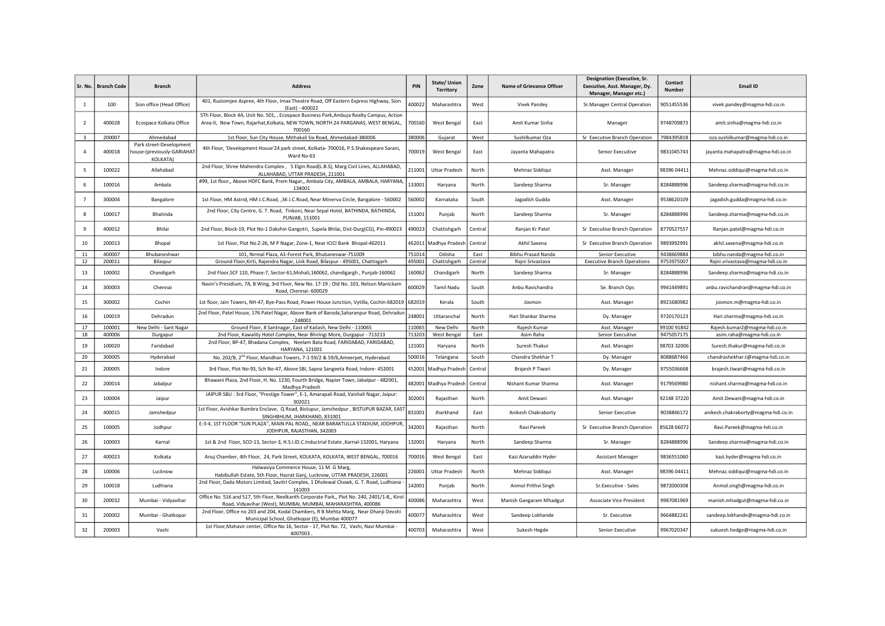| l Sr. No.               | <b>Branch Code</b> | <b>Branch</b>                                                            | <b>Address</b>                                                                                                                                                                         | PIN    | State/Union<br><b>Territory</b> | Zone   | <b>Name of Grievance Officer</b> | <b>Designation (Executive, Sr.</b><br>Executive, Asst. Manager, Dy.<br>Manager, Manager etc.) | Contact<br><b>Number</b> | <b>Email ID</b>                     |
|-------------------------|--------------------|--------------------------------------------------------------------------|----------------------------------------------------------------------------------------------------------------------------------------------------------------------------------------|--------|---------------------------------|--------|----------------------------------|-----------------------------------------------------------------------------------------------|--------------------------|-------------------------------------|
| 1                       | 100                | Sion office (Head Office)                                                | 401, Rustomjee Aspree, 4th Floor, Imax Theatre Road, Off Eastern Express Highway, Sion<br>(East) - 400022                                                                              | 400022 | Maharashtra                     | West   | <b>Vivek Pandey</b>              | Sr.Manager Central Operation                                                                  | 9051455536               | vivek.pandey@magma-hdi.co.in        |
| $\overline{2}$          | 400028             | Ecospace Kolkata Office                                                  | 5Th Floor, Block 4A, Unit No. 501, , Ecospace Business Park, Ambuja Realty Campus, Action<br>Area-II, New Town, Rajarhat, Kolkata, NEW TOWN, NORTH 24 PARGANAS, WEST BENGAL,<br>700160 | 700160 | West Bengal                     | East   | Amit Kumar Sinha                 | Manager                                                                                       | 9748709873               | amit.sinha@magma-hdi.co.in          |
| $\overline{\mathbf{3}}$ | 200007             | Ahmedabad                                                                | 1st Floor, Sun City House, Mithakali Six Road, Ahmedabad-380006                                                                                                                        | 380006 | Gujarat                         | West   | Sushilkumar Oza                  | Sr Executive Branch Operation                                                                 | 7984395818               | oza.sushilkumar@magma-hdi.co.in     |
| 4                       | 400018             | Park street-Development<br>house-(previously-GARIAHAT<br><b>KOLKATA)</b> | 4th Floor, 'Development House'24 park street, Kolkata- 700016, P.S.Shakespeare Sarani,<br>Ward No-63                                                                                   | 700019 | West Bengal                     | East   | Jayanta Mahapatra                | Senior Execuitive                                                                             | 9831045743               | jayanta.mahapatra@magma-hdi.co.in   |
| 5                       | 100022             | Allahabad                                                                | 2nd Floor, Shree Mahendra Complex , 5 Elgin Road(L.B.S), Marg Civil Lines, ALLAHABAD,<br>ALLAHABAD, UTTAR PRADESH, 211001                                                              | 211001 | <b>Uttar Pradesh</b>            | North  | Mehnaz Siddiqui                  | Asst. Manager                                                                                 | 98396 04411              | Mehnaz.siddiqui@magma-hdi.co.in     |
| 6                       | 100016             | Ambala                                                                   | #99, 1st floor,, Above HDFC Bank, Prem Nagar,, Ambala City, AMBALA, AMBALA, HARYANA<br>134001                                                                                          | 133001 | Haryana                         | North  | Sandeep Sharma                   | Sr. Manager                                                                                   | 8284888996               | Sandeep.sharma@magma-hdi.co.in      |
| $\overline{7}$          | 300004             | Bangalore                                                                | 1st Floor, HM Astrid, HM J.C.Road, ,36 J.C.Road, Near Minerva Circle, Bangalore - 560002                                                                                               | 560002 | Karnataka                       | South  | Jagadish Gudda                   | Asst. Manager                                                                                 | 9538620109               | jagadish.gudda@magma-hdi.co.in      |
| 8                       | 100017             | Bhatinda                                                                 | 2nd Floor, City Centre, G. T. Road, Tinkoni, Near Sepal Hotel, BATHINDA, BATHINDA,<br>PUNJAB, 151001                                                                                   | 151001 | Punjab                          | North  | Sandeep Sharma                   | Sr. Manager                                                                                   | 8284888996               | Sandeep.sharma@magma-hdi.co.in      |
| 9                       | 400012             | Bhilai                                                                   | 2nd Floor, Block-19, Plot No-1 Dakshin Gangotri, Supela Bhilai, Dist-Durg(CG), Pin-490023                                                                                              | 490023 | Chattishgarh                    | Centra | Ranjan Kr Patel                  | Sr Executive Branch Operation                                                                 | 8770527557               | Ranjan.patel@magma-hdi.co.in        |
| 10                      | 200013             | Bhopal                                                                   | 1st Floor, Plot No.Z-26, M P Nagar, Zone-1, Near ICICI Bank Bhopal-462011                                                                                                              | 462011 | Madhya Pradesh                  | Centra | Akhil Saxena                     | Sr Executive Branch Operation                                                                 | 9893992991               | akhil.saxena@magma-hdi.co.in        |
| 11                      | 400007             | Bhubaneshwar                                                             | 101, Nirmal Plaza, A1-Forest Park, Bhubaneswar-751009                                                                                                                                  | 751014 | Odisha                          | East   | Bibhu Prasad Nanda               | Senior Executive                                                                              | 9438669884               | bibhu.nanda@magma-hdi.co.in         |
| $12\,$                  | 200011             | Bilaspur                                                                 | Ground Floor, Kirti, Rajendra Nagar, Link Road, Bilaspur - 495001, Chattisgarh                                                                                                         | 495001 | Chattishgarh                    | Centra | Rajni Srivastava                 | <b>Executive Branch Operations</b>                                                            | 9753975007               | Rajni.srivastava@magma-hdi.co.in    |
| 13                      | 100002             | Chandigarh                                                               | 2nd Floor, SCF 110, Phase-7, Sector-61, Mohali, 160062, chandigargh, Punjab-160062                                                                                                     | 160062 | Chandigarh                      | North  | Sandeep Sharma                   | Sr. Manager                                                                                   | 8284888996               | Sandeep.sharma@magma-hdi.co.in      |
| 14                      | 300003             | Chennai                                                                  | Navin's Presidium, 7A, B Wing, 3rd Floor, New No. 17-19 ; Old No. 103, Nelson Manickam<br>Road, Chennai- 600029                                                                        | 600029 | Tamil Nadu                      | South  | Anbu Ravichandra                 | Se. Branch Ops                                                                                | 9941449891               | anbu.ravichandran@magma-hdi.co.in   |
| 15                      | 300002             | Cochin                                                                   | 1st floor, Jain Towers, NH-47, Bye-Pass Road, Power House Junction, Vytilla, Cochin-682019   682019                                                                                    |        | Kerala                          | South  | Josmon                           | Asst. Manager                                                                                 | 8921680982               | josmon.m@magma-hdi.co.in            |
| 16                      | 100019             | Dehradun                                                                 | 2nd Floor, Patel House, 176 Patel Nagar, Above Bank of Baroda, Saharanpur Road, Dehradun<br>$-248001$                                                                                  | 248001 | Uttaranchal                     | North  | Hari Shankar Sharma              | Dy. Manager                                                                                   | 9720170123               | Hari.sharma@magma-hdi.co.in         |
| 17                      | 100001             | New Delhi - Sant Nagar                                                   | Ground Floor, 8 Santnagar, East of Kailash, New Delhi - 110065                                                                                                                         | 110065 | New Delhi                       | North  | Rajesh Kumar                     | Asst. Manager                                                                                 | 99100 91842              | Rajesh.kumar2@magma-hdi.co.in       |
| 18                      | 400006             | Durgapur                                                                 | 2nd Floor, Kawality Hotel Complex, Near Bhiringi More, Durgapur - 713213                                                                                                               | 713203 | West Bengal                     | East   | Asim Raha                        | Senior Execuitive                                                                             | 9475057175               | asim.raha@magma-hdi.co.in           |
| 19                      | 100020             | Faridabad                                                                | 2nd Floor, BP-47, Bhadana Complex, Neelam Bata Road, FARIDABAD, FARIDABAD,<br>HARYANA, 121001                                                                                          | 121001 | Haryana                         | North  | Suresh Thakur                    | Asst. Manager                                                                                 | 98703 32006              | Suresh.thakur@magma-hdi.co.in       |
| 20                      | 300005             | Hyderabad                                                                | No. 202/B, 2 <sup>nd</sup> Floor, Mandhan Towers, 7-1-59/2 & 59/6, Ameerpet, Hyderabad                                                                                                 | 500016 | Telangana                       | South  | Chandra Shekhar T                | Dy. Manager                                                                                   | 8088687466               | chandrashekhar.t@magma-hdi.co.in    |
| 21                      | 200005             | Indore                                                                   | 3rd Floor, Plot No-93, Sch No-47, Above SBI, Sapna Sangeeta Road, Indore- 452001                                                                                                       | 452001 | Madhya Pradesh                  | Centra | Brajesh P Tiwari                 | Dy. Manager                                                                                   | 9755036668               | brajesh.tiwari@magma-hdi.co.in      |
| 22                      | 200014             | Jabalpur                                                                 | Bhawani Plaza, 2nd Floor, H. No. 1230, Fourth Bridge, Napier Town, Jabalpur - 482001,<br>Madhya Pradesh                                                                                | 482001 | Madhya Pradesh                  | Centra | Nishant Kumar Sharma             | Asst. Manager                                                                                 | 9179569980               | nishant.sharma@magma-hdi.co.in      |
| 23                      | 100004             | Jaipur                                                                   | JAIPUR SBU : 3rd Floor, "Prestige Tower", E-1, Amarapali Road, Vaishali Nagar, Jaipur:<br>302021                                                                                       | 302001 | Rajasthan                       | North  | Amit Dewani                      | Asst. Manager                                                                                 | 92148 37220              | Amit.Dewani@magma-hdi.co.in         |
| 24                      | 400015             | Jamshedpur                                                               | 1st Floor, Avishkar Bumbra Enclave, Q Road, Bistupur, Jamshedpur, BISTUPUR BAZAR, EAS<br>SINGHBHUM, JHARKHAND, 831001                                                                  | 831001 | Jharkhand                       | East   | Anikesh Chakraborty              | Senior Executive                                                                              | 9038846172               | anikesh.chakraborty@magma-hdi.co.in |
| 25                      | 100005             | Jodhpur                                                                  | E-3-4, 1ST FLOOR "SUN PLAZA", MAIN PAL ROAD,, NEAR BARAKTULLA STADIUM, JODHPUR,<br>JODHPUR, RAJASTHAN, 342003                                                                          | 342001 | Rajasthan                       | North  | Ravi Pareek                      | Sr Executive Branch Operation                                                                 | 85628 66072              | Ravi.Pareek@magma-hdi.co.in         |
| 26                      | 100003             | Karnal                                                                   | 1st & 2nd Floor, SCO-13, Sector-3, H.S.I.ID.C.Inductrial Estate ,Karnal-132001, Haryana                                                                                                | 132001 | Haryana                         | North  | Sandeep Sharma                   | Sr. Manager                                                                                   | 8284888996               | Sandeep.sharma@magma-hdi.co.in      |
| 27                      | 400023             | Kolkata                                                                  | Anuj Chamber, 4th Floor, 24, Park Street, KOLKATA, KOLKATA, WEST BENGAL, 700016                                                                                                        | 700016 | <b>West Bengal</b>              | East   | Kazi Azaruddin Hyder             | <b>Assistant Manager</b>                                                                      | 9836551060               | kazi.hyder@magma-hdi.co.in          |
| 28                      | 100006             | Lucknow                                                                  | Halwasiya Commerce House, 11 M. G Marg,<br>Habibullah Estate, 5th Floor, Hazrat Ganj, Lucknow, UTTAR PRADESH, 226001                                                                   | 226001 | <b>Uttar Pradesh</b>            | North  | Mehnaz Siddiqui                  | Asst. Manager                                                                                 | 98396 04411              | Mehnaz.siddiqui@magma-hdi.co.in     |
| 29                      | 100018             | Ludhiana                                                                 | 2nd Floor, Dada Motors Limited, Savitri Complex, 1 Dholewal Chowk, G. T. Road, Ludhiana -<br>141003                                                                                    | 142001 | Punjab                          | North  | Anmol Prithvi Singh              | Sr.Executive - Sales                                                                          | 9872000308               | Anmol.singh@magma-hdi.co.in         |
| 30                      | 200032             | Mumbai - Vidyavihar                                                      | Office No. 516 and 517, 5th Floor, Neelkanth Corporate Park,, Plot No. 240, 2401/1-8,, Kirol<br>Road, Vidyavihar (West), MUMBAI, MUMBAI, MAHARASHTRA, 400086                           | 400086 | Maharashtra                     | West   | Manish Gangaram Mhadgut          | <b>Associate Vice President</b>                                                               | 9987081969               | manish.mhadgut@magma-hdi.co.in      |
| 31                      | 200002             | Mumbai - Ghatkopar                                                       | 2nd Floor, Office no 203 and 204, Kodal Chambers, R B Mehta Marg, Near Dhanji Devshi<br>Municipal School, Ghatkopar (E), Mumbai 400077                                                 | 400077 | Maharashtra                     | West   | Sandeep Lokhande                 | Sr. Executive                                                                                 | 9664882241               | sandeep.lokhande@magma-hdi.co.in    |
| 32                      | 200003             | Vashi                                                                    | 1st Floor, Mahavir center, Office No 16, Sector - 17, Plot No. 72, Vashi, Navi Mumbai -<br>4007003                                                                                     | 400703 | Maharashtra                     | West   | Sukesh Hegde                     | Senior Executive                                                                              | 9967020347               | sukuesh.hedge@magma-hdi.co.in       |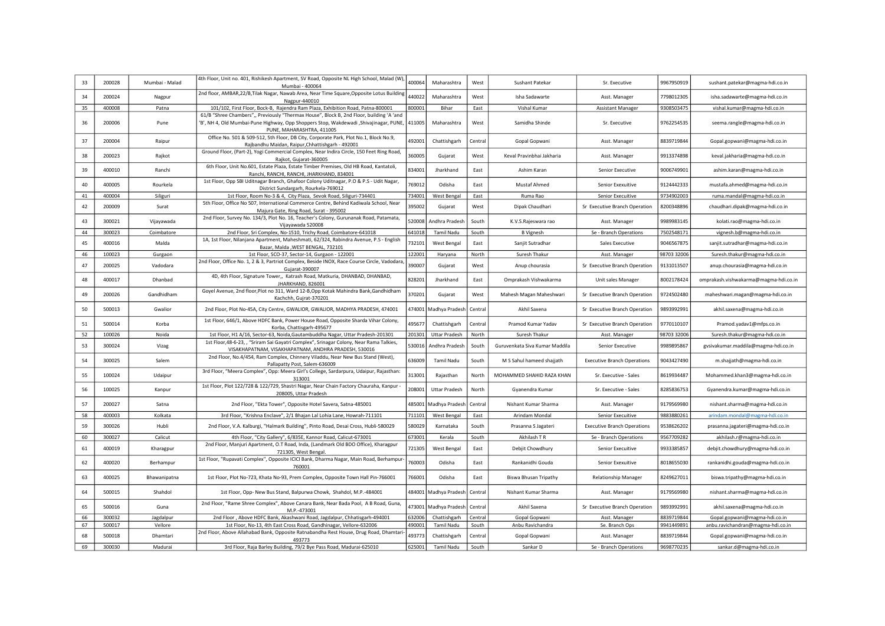| 33 | 200028 | Mumbai - Malad | 4th Floor, Unit no. 401, Rishikesh Apartment, SV Road, Opposite NL High School, Malad (W),<br>Mumbai - 400064                                                                                                     | 400064 | Maharashtra           | West    | Sushant Patekar                | Sr. Executive                      | 9967950919  | sushant.patekar@magma-hdi.co.in       |
|----|--------|----------------|-------------------------------------------------------------------------------------------------------------------------------------------------------------------------------------------------------------------|--------|-----------------------|---------|--------------------------------|------------------------------------|-------------|---------------------------------------|
| 34 | 200024 | Nagpur         | 2nd floor, AMBAR,22/B,Tilak Nagar, Nawab Area, Near Time Square, Opposite Lotus Building<br>Nagpur-440010                                                                                                         | 440022 | Maharashtra           | West    | Isha Sadawarte                 | Asst. Manager                      | 7798012305  | isha.sadawarte@magma-hdi.co.in        |
| 35 | 400008 | Patna          | 101/102, First Floor, Bock-B, Rajendra Ram Plaza, Exhibition Road, Patna-800001                                                                                                                                   | 800001 | Bihar                 | East    | Vishal Kumar                   | <b>Assistant Manager</b>           | 9308503475  | vishal.kumar@magma-hdi.co.in          |
| 36 | 200006 | Pune           | 61/B "Shree Chambers",, Previously "Thermax House", Block B, 2nd Floor, building 'A 'and<br>'B', NH 4, Old Mumbai-Pune Highway, Opp Shoppers Stop, Wakdewadi , Shivajinagar, PUNE,  <br>PUNE, MAHARASHTRA, 411005 | 411005 | Maharashtra           | West    | Samidha Shinde                 | Sr. Executive                      | 9762254535  | seema.rangle@magma-hdi.co.in          |
| 37 | 200004 | Raipur         | Office No. 501 & 509-512, 5th Floor, DB City, Corporate Park, Plot No.1, Block No.9,<br>Rajbandhu Maidan, Raipur, Chhattishgarh - 492001                                                                          | 492001 | Chattishgarh          | Central | Gopal Gopwani                  | Asst. Manager                      | 8839719844  | Gopal.gopwani@magma-hdi.co.in         |
| 38 | 200023 | Rajkot         | Ground Floor, (Part-2), Yogi Commercial Complex, Near Indira Circle, 150 Feet Ring Road,<br>Rajkot, Gujarat-360005                                                                                                | 360005 | Gujarat               | West    | Keval Pravinbhai Jakharia      | Asst. Manager                      | 9913374898  | keval.jakharia@magma-hdi.co.in        |
| 39 | 400010 | Ranchi         | 6th Floor, Unit No.601, Estate Plaza, Estate Timber Premises, Old HB Road, Kantatoli,<br>Ranchi, RANCHI, RANCHI, JHARKHAND, 834001                                                                                | 834001 | Jharkhand             | East    | Ashim Karan                    | Senior Executive                   | 9006749901  | ashim.karan@magma-hdi.co.in           |
| 40 | 400005 | Rourkela       | 1st Floor, Opp SBI Uditnagar Branch, Ghafoor Colony Uditnagar, P.O & P.S - Udit Nagar,<br>District Sundargarh, Rourkela-769012                                                                                    | 769012 | Odisha                | East    | Mustaf Ahmed                   | Senior Exexuitive                  | 9124442333  | mustafa.ahmed@magma-hdi.co.in         |
| 41 | 400004 | Siliguri       | 1st Floor, Room No-3 & 4, City Plaza, Sevok Road, Siliguri-734401                                                                                                                                                 | 734001 | West Bengal           | East    | Ruma Rao                       | Senior Execuitive                  | 9734902003  | ruma.mandal@magma-hdi.co.in           |
| 42 | 200009 | Surat          | 5th Floor, Office No 507, International Commerce Centre, Behind Kadiwala School, Near<br>Majura Gate, Ring Road, Surat - 395002                                                                                   | 395002 | Gujarat               | West    | Dipak Chaudhari                | Sr Executive Branch Operation      | 8200348896  | chaudhari.dipak@magma-hdi.co.in       |
| 43 | 300021 | Vijayawada     | 2nd Floor, Survey No. 134/3, Plot No. 16, Teacher's Colony, Gurunanak Road, Patamata,<br>Vijayawada 520008                                                                                                        | 520008 | Andhra Pradesh        | South   | K.V.S.Rajeswara rao            | Asst. Manager                      | 9989983145  | kolati.rao@magma-hdi.co.in            |
| 44 | 300023 | Coimbatore     | 2nd Floor, Sri Complex, No-1510, Trichy Road, Coimbatore-641018                                                                                                                                                   | 641018 | Tamil Nadu            | South   | <b>B</b> Vignesh               | Se - Branch Operations             | 7502548171  | vignesh.b@magma-hdi.co.in             |
| 45 | 400016 | Malda          | 1A, 1st Floor, Nilanjana Apartment, Maheshmati, 62/324, Rabindra Avenue, P.S - English<br>Bazar, Malda, WEST BENGAL, 732101                                                                                       | 732101 | West Bengal           | East    | Sanjit Sutradhar               | Sales Executive                    | 9046567875  | sanjit.sutradhar@magma-hdi.co.in      |
| 46 | 100023 | Gurgaon        | 1st Floor, SCO-37, Sector-14, Gurgaon - 122001                                                                                                                                                                    | 122001 | Haryana               | North   | Suresh Thakur                  | Asst. Manager                      | 98703 32006 | Suresh.thakur@magma-hdi.co.in         |
| 47 | 200025 | Vadodara       | 2nd Floor, Office No. 1, 2 & 3, Partriot Complex, Beside INOX, Race Course Circle, Vadodara<br>Gujarat-390007                                                                                                     | 390007 | Gujarat               | West    | Anup chourasia                 | Sr Executive Branch Operation      | 9131013507  | anup.chourasia@magma-hdi.co.in        |
| 48 | 400017 | Dhanbad        | 4D, 4th Floor, Signature Tower,, Katrash Road, Matkuria, DHANBAD, DHANBAD,<br>JHARKHAND, 826001                                                                                                                   | 828201 | Jharkhand             | East    | Omprakash Vishwakarma          | Unit sales Manager                 | 8002178424  | omprakash.vishwakarma@magma-hdi.co.in |
| 49 | 200026 | Gandhidham     | Goyel Avenue, 2nd floor, Plot no 311, Ward 12-B, Opp Kotak Mahindra Bank, Gandhidham<br>Kachchh, Gujrat-370201                                                                                                    | 370201 | Gujarat               | West    | Mahesh Magan Maheshwari        | Sr Executive Branch Operation      | 9724502480  | maheshwari.magan@magma-hdi.co.in      |
| 50 | 500013 | Gwalior        | 2nd Floor, Plot No-45A, City Centre, GWALIOR, GWALIOR, MADHYA PRADESH, 474001                                                                                                                                     |        | 474001 Madhya Pradesh | Centra  | Akhil Saxena                   | Sr Executive Branch Operation      | 9893992991  | akhil.saxena@magma-hdi.co.in          |
| 51 | 500014 | Korba          | 1st Floor, 646/1, Above HDFC Bank, Power House Road, Opposite Sharda Vihar Colony,<br>Korba, Chattisgarh-495677                                                                                                   | 495677 | Chattishgarh          | Centra  | Pramod Kumar Yadav             | Sr Executive Branch Operation      | 9770110107  | Pramod.yadav1@mfps.co.in              |
| 52 | 100026 | Noida          | 1st Floor, H1 A/16, Sector-63, Noida, Gautambuddha Nagar, Uttar Pradesh-201301                                                                                                                                    | 201301 | Uttar Pradesh         | North   | Suresh Thakur                  | Asst. Manager                      | 98703 32006 | Suresh.thakur@magma-hdi.co.in         |
| 53 | 300024 | Vizag          | 1st Floor, 48-6-23, , "Sriram Sai Gayatri Complex", Srinagar Colony, Near Rama Talkies,<br>VISAKHAPATNAM, VISAKHAPATNAM, ANDHRA PRADESH, 530016                                                                   | 530016 | Andhra Pradesh        | South   | Guruvenkata Siva Kumar Maddila | Senior Executive                   | 9989895867  | gvsivakumar.maddila@magma-hdi.co.in   |
| 54 | 300025 | Salem          | 2nd Floor, No.4/454, Ram Complex, Chinnery Viladdu, Near New Bus Stand (West),<br>Pallapatty Post, Salem-636009                                                                                                   | 636009 | Tamil Nadu            | South   | M S Sahul hameed shajjath      | <b>Executive Branch Operations</b> | 9043427490  | m.shajjath@magma-hdi.co.in            |
| 55 | 100024 | Udaipur        | 3rd Floor, "Meera Complex", Opp: Meera Girl's College, Sardarpura, Udaipur, Rajasthan:<br>313001                                                                                                                  | 313001 | Rajasthan             | North   | MOHAMMED SHAHID RAZA KHAN      | Sr. Executive - Sales              | 8619934487  | Mohammed.khan3@magma-hdi.co.in        |
| 56 | 100025 | Kanpur         | 1st Floor, Plot 122/728 & 122/729, Shastri Nagar, Near Chain Factory Chauraha, Kanpur<br>208005, Uttar Pradesh                                                                                                    | 208001 | <b>Uttar Pradesh</b>  | North   | Gyanendra Kumar                | Sr. Executive - Sales              | 8285836753  | Gyanendra.kumar@magma-hdi.co.in       |
| 57 | 200027 | Satna          | 2nd Floor, "Ekta Tower", Opposite Hotel Savera, Satna-485001                                                                                                                                                      | 485001 | Madhya Pradesh        | Centra  | Nishant Kumar Sharma           | Asst. Manager                      | 9179569980  | nishant.sharma@magma-hdi.co.in        |
| 58 | 400003 | Kolkata        | 3rd Floor, "Krishna Enclave", 2/1 Bhajan Lal Lohia Lane, Howrah-711101                                                                                                                                            | 711101 | West Bengal           | East    | Arindam Mondal                 | Senior Execuitive                  | 9883880261  | arindam.mondal@magma-hdi.co.in        |
| 59 | 300026 | Hubli          | 2nd Floor, V.A. Kalburgi, "Halmark Building", Pinto Road, Desai Cross, Hubli-580029                                                                                                                               | 580029 | Karnataka             | South   | Prasanna S Jagateri            | <b>Executive Branch Operations</b> | 9538626202  | prasanna.jagateri@magma-hdi.co.in     |
| 60 | 300027 | Calicut        | 4th Floor, "City Gallery", 6/835E, Kannor Road, Calicut-673001                                                                                                                                                    | 673001 | Kerala                | South   | Akhilash T R                   | Se - Branch Operations             | 9567709282  | akhilash.r@magma-hdi.co.in            |
| 61 | 400019 | Kharagpur      | 2nd Floor, Manjuri Apartment, O.T Road, Inda, (Landmark Old BDO Office), Kharagpur<br>721305, West Bengal.                                                                                                        | 721305 | West Bengal           | East    | Debjit Chowdhury               | Senior Execuitive                  | 9933385857  | debjit.chowdhury@magma-hdi.co.in      |
| 62 | 400020 | Berhampur      | 1st Floor, "Rupavati Complex", Opposite ICICI Bank, Dharma Nagar, Main Road, Berhampur<br>760001                                                                                                                  | 760003 | Odisha                | East    | Rankanidhi Gouda               | Senior Exexuitive                  | 8018655030  | rankanidhi.gouda@magma-hdi.co.in      |
| 63 | 400025 | Bhawanipatna   | 1st Floor, Plot No-723, Khata No-93, Prem Complex, Opposite Town Hall Pin-766001                                                                                                                                  | 766001 | Odisha                | East    | <b>Biswa Bhusan Tripathy</b>   | <b>Relationship Manager</b>        | 8249627011  | biswa.tripathy@magma-hdi.co.in        |
| 64 | 500015 | Shahdol        | 1st Floor, Opp- New Bus Stand, Balpurwa Chowk, Shahdol, M.P.-484001                                                                                                                                               |        | 484001 Madhya Pradesh | Centra  | Nishant Kumar Sharma           | Asst. Manager                      | 9179569980  | nishant.sharma@magma-hdi.co.in        |
| 65 | 500016 | Guna           | 2nd Floor, "Rame Shree Complex", Above Canara Bank, Near Bada Pool, A B Road, Guna,<br>M.P.-473001                                                                                                                |        | 473001 Madhya Pradesh | Centra  | Akhil Saxena                   | Sr Executive Branch Operation      | 9893992991  | akhil.saxena@magma-hdi.co.in          |
| 66 | 300032 | Jagdalpur      | 2nd Floor, Above HDFC Bank, Akashwani Road, Jagdalpur, Chhatisgarh-494001                                                                                                                                         | 632006 | Chattishgarh          | Central | Gopal Gopwani                  | Asst. Manager                      | 8839719844  | Gopal.gopwani@magma-hdi.co.in         |
| 67 | 500017 | Vellore        | 1st Floor, No-13, 4th East Cross Road, Gandhinagar, Vellore-632006                                                                                                                                                | 490001 | Tamil Nadu            | South   | Anbu Ravichandra               | Se. Branch Ops                     | 9941449891  | anbu.ravichandran@magma-hdi.co.in     |
| 68 | 500018 | Dhamtari       | 2nd Floor, Above Allahabad Bank, Opposite Ratnabandha Rest House, Drug Road, Dhamtari<br>493773                                                                                                                   | 493773 | Chattishgarh          | Centra  | Gopal Gopwani                  | Asst. Manager                      | 8839719844  | Gopal.gopwani@magma-hdi.co.in         |
| 69 | 300030 | Madurai        | 3rd Floor, Raja Barley Building, 79/2 Bye Pass Road, Madurai-625010                                                                                                                                               | 625001 | Tamil Nadu            | South   | Sankar D                       | Se - Branch Operations             | 9698770235  | sankar.d@magma-hdi.co.in              |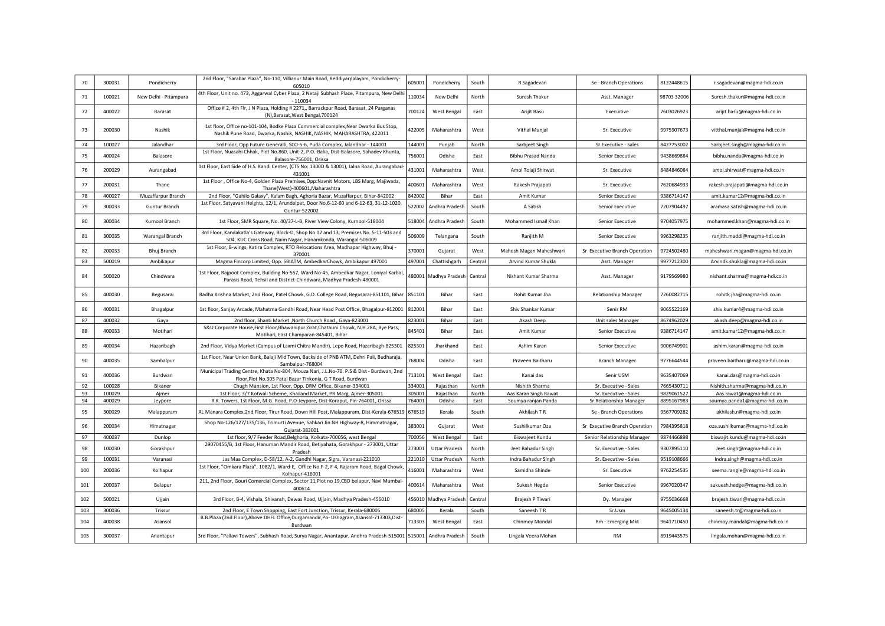| 70     | 300031 | Pondicherry           | 2nd Floor, "Sarabar Plaza", No-110, Villianur Main Road, Reddiyarpalayam, Pondicherry-<br>605010                                                                             | 605001 | Pondicherry           | South   | R Sagadevan             | Se - Branch Operations        | 8122448615  | r.sagadevan@magma-hdi.co.in      |
|--------|--------|-----------------------|------------------------------------------------------------------------------------------------------------------------------------------------------------------------------|--------|-----------------------|---------|-------------------------|-------------------------------|-------------|----------------------------------|
| 71     | 100021 | New Delhi - Pitampura | 4th Floor, Unit no. 473, Aggarwal Cyber Plaza, 2 Netaji Subhash Place, Pitampura, New Delh<br>$-110034$                                                                      | 110034 | New Delhi             | North   | Suresh Thakur           | Asst. Manager                 | 98703 32006 | Suresh.thakur@magma-hdi.co.in    |
| 72     | 400022 | Barasat               | Office # 2, 4th Flr, J N Plaza, Holding # 2271,, Barrackpur Road, Barasat, 24 Parganas<br>(N), Barasat, West Bengal, 700124                                                  | 700124 | West Bengal           | East    | Arijit Basu             | Execuitive                    | 7603026923  | arijit.basu@magma-hdi.co.in      |
| 73     | 200030 | Nashik                | 1st floor, Office no-101-104, Bodke Plaza Commercial complex, Near Dwarka Bus Stop,<br>Nashik Pune Road, Dwarka, Nashik, NASHIK, NASHIK, MAHARASHTRA, 422011                 | 422005 | Maharashtra           | West    | Vithal Munjal           | Sr. Executive                 | 9975907673  | vitthal.munjal@magma-hdi.co.in   |
| $74\,$ | 100027 | Jalandhar             | 3rd Floor, Opp Future Generalli, SCO-5-6, Puda Complex, Jalandhar - 144001                                                                                                   | 144001 | Punjab                | North   | Sarbjeet Singh          | Sr.Executive - Sales          | 8427753002  | Sarbjeet.singh@magma-hdi.co.in   |
| 75     | 400024 | Balasore              | 1st Floor, Nuasahi Chhak, Plot No.860, Unit-2, P.O.-Balia, Dist-Balasore, Sahadev Khunta,<br>Balasore-756001, Orissa                                                         | 756001 | Odisha                | East    | Bibhu Prasad Nanda      | Senior Executive              | 9438669884  | bibhu.nanda@magma-hdi.co.in      |
| 76     | 200029 | Aurangabad            | 1st Floor, East Side of H.S. Kandi Center, (CTS No: 1300D & 13001), Jalna Road, Aurangabad<br>431001                                                                         | 431001 | Maharashtra           | West    | Amol Tolaji Shirwat     | Sr. Executive                 | 8484846084  | amol.shirwat@magma-hdi.co.in     |
| 77     | 200031 | Thane                 | 1st Floor, Office No-4, Golden Plaza Premises, Opp: Navnit Motors, LBS Marg, Majiwada<br>Thane(West)-400601, Maharashtra                                                     | 400601 | Maharashtra           | West    | Rakesh Prajapati        | Sr. Executive                 | 7620684933  | rakesh.prajapati@magma-hdi.co.in |
| 78     | 400027 | Muzaffarpur Branch    | 2nd Floor, "Gahilo Galaxy", Kalam Bagh, Aghoria Bazar, Muzaffarpur, Bihar-842002                                                                                             | 842002 | Bihar                 | East    | Amit Kumar              | Senior Executive              | 9386714147  | amit.kumar12@magma-hdi.co.in     |
| 79     | 300033 | Guntur Branch         | 1st Floor, Satyavani Heights, 12/1, Arundelpet, Door No.6-12-60 and 6-12-63, 31-12-1020,<br>Guntur-522002                                                                    | 522002 | Andhra Pradesh        | South   | A Satish                | Senior Executive              | 7207904497  | aramasa.satish@magma-hdi.co.in   |
| 80     | 300034 | Kurnool Branch        | 1st Floor, SMR Square, No. 40/37-L-B, River View Colony, Kurnool-518004                                                                                                      | 518004 | Andhra Pradesh        | South   | Mohammed Ismail Khan    | Senior Executive              | 9704057975  | mohammed.khan@magma-hdi.co.in    |
| 81     | 300035 | Warangal Branch       | 3rd Floor, Kandakatla's Gateway, Block-D, Shop No.12 and 13, Premises No. 5-11-503 and<br>504, KUC Cross Road, Naim Nagar, Hanamkonda, Warangal-506009                       | 506009 | Telangana             | South   | Ranjith M               | Senior Executive              | 9963298235  | ranjith.maddi@magma-hdi.co.in    |
| 82     | 200033 | Bhuj Branch           | 1st Floor, B-wings, Katira Complex, RTO Relocations Area, Madhapar Highway, Bhuj -<br>370001                                                                                 | 370001 | Gujarat               | West    | Mahesh Magan Maheshwari | Sr Executive Branch Operation | 9724502480  | maheshwari.magan@magma-hdi.co.in |
| 83     | 500019 | Ambikapur             | Magma Fincorp Limited, Opp. SBIATM, AmbedkarChowk, Ambikapur 497001                                                                                                          | 497001 | Chattishgarh          | Central | Arvind Kumar Shukla     | Asst. Manager                 | 9977212300  | Arvindk.shukla@magma-hdi.co.in   |
| 84     | 500020 | Chindwara             | 1st Floor, Rajpoot Complex, Building No-557, Ward No-45, Ambedkar Nagar, Loniyal Karbal,<br>Parasis Road, Tehsil and District-Chindwara, Madhya Pradesh-480001               |        | 480001 Madhya Pradesh | Central | Nishant Kumar Sharma    | Asst. Manager                 | 9179569980  | nishant.sharma@magma-hdi.co.in   |
| 85     | 400030 | Begusarai             | Radha Krishna Market, 2nd Floor, Patel Chowk, G.D. College Road, Begusarai-851101, Bihar                                                                                     | 851101 | Bihar                 | East    | Rohit Kumar Jha         | <b>Relationship Manager</b>   | 7260082715  | rohitk.jha@magma-hdi.co.in       |
| 86     | 400031 | Bhagalpur             | 1st floor, Sanjay Arcade, Mahatma Gandhi Road, Near Head Post Office, Bhagalpur-812001                                                                                       | 812001 | Bihar                 | East    | Shiv Shankar Kumar      | Senir RM                      | 9065522169  | shiv.kumar4@magma-hdi.co.in      |
| 87     | 400032 | Gaya                  | 2nd floor, Shanti Market , North Church Road, Gaya-823001                                                                                                                    | 823001 | Bihar                 | East    | Akash Deep              | Unit sales Manager            | 8674962029  | akash.deep@magma-hdi.co.in       |
| 88     | 400033 | Motihari              | S&U Corporate House, First Floor, Bhawanipur Zirat, Chatauni Chowk, N.H.28A, Bye Pass,<br>Motihari, East Champaran-845401, Bihar                                             | 845401 | Bihar                 | East    | Amit Kumar              | Senior Executive              | 9386714147  | amit.kumar12@magma-hdi.co.in     |
| 89     | 400034 | Hazaribagh            | 2nd Floor, Vidya Market (Campus of Laxmi Chitra Mandir), Lepo Road, Hazaribagh-825301                                                                                        | 825301 | Jharkhand             | East    | Ashim Karan             | Senior Executive              | 9006749901  | ashim.karan@magma-hdi.co.in      |
| 90     | 400035 | Sambalpur             | 1st Floor, Near Union Bank, Balaji Mid Town, Backside of PNB ATM, Dehri Pali, Budharaja,<br>Sambalpur-768004                                                                 | 768004 | Odisha                | Fast    | Praveen Baitharu        | <b>Branch Manager</b>         | 9776644544  | praveen.baitharu@magma-hdi.co.in |
| 91     | 400036 | Burdwan               | Municipal Trading Centre, Khata No-804, Mouza Nari, J.L.No-70. P.S & Dist - Burdwan, 2nd<br>Floor, Plot No.305 Patal Bazar Tinkonia, G T Road, Burdwan                       | 713101 | West Bengal           | East    | Kanai das               | Senir USM                     | 9635407069  | kanai.das@magma-hdi.co.in        |
| 92     | 100028 | Bikaner               | Chugh Mansion, 1st Floor, Opp. DRM Office, Bikaner-334001                                                                                                                    | 334001 | Rajasthan             | North   | Nishith Sharma          | Sr. Executive - Sales         | 7665430711  | Nishith.sharma@magma-hdi.co.in   |
| 93     | 100029 | Ajmer                 | 1st Floor, 3/7 Kotwali Scheme, Khailand Market, PR Marg, Ajmer-305001                                                                                                        | 305001 | Rajasthan             | North   | Aas Karan Singh Rawat   | Sr. Executive - Sales         | 9829061527  | Aas.rawat@magma-hdi.co.in        |
| 94     | 400029 | Jeypore               | R.K. Towers, 1st Floor, M.G. Road, P.O-Jeypore, Dist-Koraput, Pin-764001, Orissa                                                                                             | 764001 | Odisha                | East    | Soumya ranjan Panda     | Sr Relationship Manager       | 8895167983  | soumya.panda1@magma-hdi.co.in    |
| 95     | 300029 | Malappuram            | AL Manara Complex, 2nd Floor, Tirur Road, Down Hill Post, Malappuram, Dist-Kerala-676519<br>Shop No-126/127/135/136, Trimurti Avenue, Sahkari Jin NH Highway-8, Himmatnagar, | 676519 | Kerala                | South   | Akhilash T R            | Se - Branch Operations        | 9567709282  | akhilash.r@magma-hdi.co.in       |
| 96     | 200034 | Himatnagar            | Gujarat-383001                                                                                                                                                               | 383001 | Gujarat               | West    | Sushilkumar Oza         | Sr Executive Branch Operation | 7984395818  | oza.sushilkumar@magma-hdi.co.in  |
| 97     | 400037 | Dunlop                | 1st floor, 9/7 Feeder Road, Belghoria, Kolkata-700056, west Bengal                                                                                                           | 700056 | West Bengal           | East    | Biswajeet Kundu         | Senior Relationship Manager   | 9874466898  | biswajit.kundu@magma-hdi.co.in   |
| 98     | 100030 | Gorakhpur             | 29070455/B, 1st Floor, Hanuman Mandir Road, Betiyahata, Gorakhpur - 273001, Uttar<br>Pradesh                                                                                 | 273001 | <b>Uttar Pradesh</b>  | North   | Jeet Bahadur Singh      | Sr. Executive - Sales         | 9307895110  | Jeet.singh@magma-hdi.co.in       |
| 99     | 100031 | Varanasi              | Jas Maa Complex, D-58/12, A-2, Gandhi Nagar, Sigra, Varanasi-221010                                                                                                          | 221010 | <b>Uttar Pradesh</b>  | North   | Indra Bahadur Singh     | Sr. Executive - Sales         | 9519108666  | Indra.singh@magma-hdi.co.in      |
| 100    | 200036 | Kolhapur              | 1st Floor, "Omkara Plaza", 1082/1, Ward-E, Office No.F-2, F-4, Rajaram Road, Bagal Chowk,<br>Kolhapur-416001                                                                 | 416001 | Maharashtra           | West    | Samidha Shinde          | Sr. Executive                 | 9762254535  | seema.rangle@magma-hdi.co.in     |
| 101    | 200037 | Belapur               | 211, 2nd Floor, Gouri Comercial Complex, Sector 11, Plot no 19, CBD belapur, Navi Mumbai-<br>400614                                                                          | 400614 | Maharashtra           | West    | Sukesh Hegde            | Senior Executive              | 9967020347  | sukuesh.hedge@magma-hdi.co.in    |
| 102    | 500021 | Ujjain                | 3rd Floor, B-4, Vishala, Shivansh, Dewas Road, Ujjain, Madhya Pradesh-456010                                                                                                 |        | 456010 Madhya Pradesh | Centra  | Brajesh P Tiwari        | Dy. Manager                   | 9755036668  | brajesh.tiwari@magma-hdi.co.in   |
| 103    | 300036 | Trissur               | 2nd Floor, E Town Shopping, East Fort Junction, Trissur, Kerala-680005                                                                                                       | 680005 | Kerala                | South   | Saneesh TR              | Sr.Usm                        | 9645005134  | saneesh.tr@magma-hdi.co.in       |
| 104    | 400038 | Asansol               | B.B.Plaza (2nd Floor), Above DHFL Office, Durgamandir, Po- Ushagram, Asansol-713303, Dist<br>Burdwan                                                                         | 713303 | <b>West Bengal</b>    | East    | Chinmoy Mondal          | Rm - Emerging Mkt             | 9641710450  | chinmoy.mandal@magma-hdi.co.in   |
| 105    | 300037 | Anantapur             | 3rd Floor, "Pallavi Towers", Subhash Road, Surya Nagar, Anantapur, Andhra Pradesh-515001   515001   Andhra Pradesh                                                           |        |                       | South   | Lingala Veera Mohan     | <b>RM</b>                     | 8919443575  | lingala.mohan@magma-hdi.co.in    |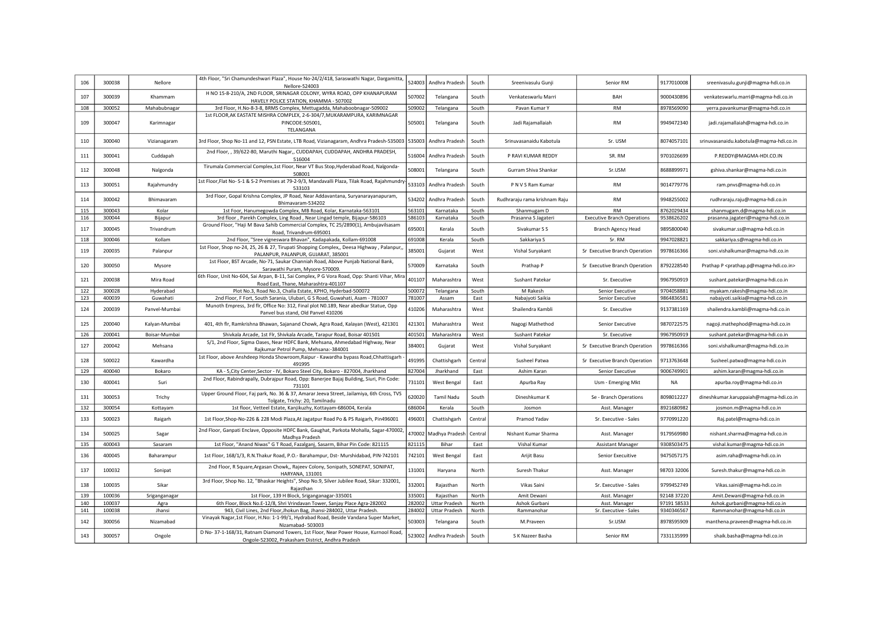| 106 | 300038 | Nellore       | 4th Floor, "Sri Chamundeshwari Plaza", House No-24/2/418, Saraswathi Nagar, Dargamitta,<br>Nellore-524003                                | 524003 | Andhra Pradesh        | South   | Sreenivasulu Gunji            | Senior RM                          | 9177010008  | sreenivasulu.gunji@magma-hdi.co.in                                |
|-----|--------|---------------|------------------------------------------------------------------------------------------------------------------------------------------|--------|-----------------------|---------|-------------------------------|------------------------------------|-------------|-------------------------------------------------------------------|
| 107 | 300039 | Khammam       | H NO 15-8-210/A, 2ND FLOOR, SRINAGAR COLONY, WYRA ROAD, OPP KHANAPURAM<br>HAVELY POLICE STATION, KHAMMA - 507002                         | 507002 | Telangana             | South   | Venkateswarlu Marri           | BAH                                | 9000430896  | venkateswarlu.marri@magma-hdi.co.in                               |
| 108 | 300052 | Mahabubnagar  | 3rd Floor, H.No-8-3-8, BRMS Complex, Mettugadda, Mahaboobnagar-509002                                                                    | 509002 | Telangana             | South   | Pavan Kumar Y                 | <b>RM</b>                          | 8978569090  | yerra.pavankumar@magma-hdi.co.in                                  |
| 109 | 300047 | Karimnagar    | 1st FLOOR, AK EASTATE MISHRA COMPLEX, 2-6-304/7, MUKARAMPURA, KARIMNAGAR<br>PINCODE:505001,<br>TELANGANA                                 | 505001 | Telangana             | South   | Jadi Rajamallaiah             | <b>RM</b>                          | 9949472340  | jadi.rajamallaiah@magma-hdi.co.in                                 |
| 110 | 300040 | Vizianagaram  | 3rd Floor, Shop No-11 and 12, PSN Estate, LTB Road, Vizianagaram, Andhra Pradesh-535003 535003                                           |        | Andhra Pradesh        | South   | Srinuvasanaidu Kabotula       | Sr. USM                            | 8074057101  | srinuvasanaidu.kabotula@magma-hdi.co.in                           |
| 111 | 300041 | Cuddapah      | 2nd Floor, , 39/622-80, Maruthi Nagar,, CUDDAPAH, CUDDAPAH, ANDHRA PRADESH,<br>516004                                                    | 516004 | Andhra Pradesh        | South   | P RAVI KUMAR REDDY            | SR. RM                             | 9701026699  | P.REDDY@MAGMA-HDI.CO.IN                                           |
| 112 | 300048 | Nalgonda      | Tirumala Commercial Complex,1st Floor, Near VT Bus Stop, Hyderabad Road, Nalgonda-<br>508001                                             | 508001 | Telangana             | South   | Gurram Shiva Shankar          | Sr.USM                             | 8688899971  | gshiva.shankar@magma-hdi.co.in                                    |
| 113 | 300051 | Rajahmundry   | 1st Floor, Flat No- S-1 & S-2 Premises at 79-2-9/3, Mandavalli Plaza, Tilak Road, Rajahmundry<br>533103                                  | 533103 | Andhra Pradesh        | South   | P N V S Ram Kumar             | RM                                 | 9014779776  | ram.pnvs@magma-hdi.co.in                                          |
| 114 | 300042 | Bhimavaram    | 3rd Floor, Gopal Krishna Complex, JP Road, Near Addavantana, Suryanarayanapuram,<br>Bhimavaram-534202                                    | 534202 | Andhra Pradesh        | South   | Rudhraraju rama krishnam Raju | <b>RM</b>                          | 9948255002  | rudhraraju.raju@magma-hdi.co.in                                   |
| 115 | 300043 | Kolar         | 1st Foor, Hanumegowda Complex, MB Road, Kolar, Karnataka-563101                                                                          | 563101 | Karnataka             | South   | Shanmugam D                   | <b>RM</b>                          | 8762029434  | shanmugam.d@magma-hdi.co.in                                       |
| 116 | 300044 | Bijapur       | 3rd floor, Parekh Complex, Ling Road, Near Lingad temple, Bijapur-586103                                                                 | 586103 | Karnataka             | South   | Prasanna S Jagateri           | <b>Executive Branch Operations</b> | 9538626202  | prasanna.jagateri@magma-hdi.co.in                                 |
| 117 | 300045 | Trivandrum    | Ground Floor, "Haji M Bava Sahib Commercial Complex, TC 25/2890(1), Ambujavilsasam<br>Road, Trivandrum-695001                            | 695001 | Kerala                | South   | Sivakumar S S                 | <b>Branch Agency Head</b>          | 9895800040  | sivakumar.ss@magma-hdi.co.in                                      |
| 118 | 300046 | Kollam        | 2nd Floor, "Sree vigneswara Bhavan", Kadapakada, Kollam-691008                                                                           | 691008 | Kerala                | South   | Sakkariya S                   | Sr. RM                             | 9947028821  | sakkariya.s@magma-hdi.co.in                                       |
| 119 | 200035 | Palanpur      | 1st Floor, Shop no-24, 25, 26 & 27, Tirupati Shopping Complex,, Deesa Highway, Palanpur,<br>PALANPUR, PALANPUR, GUJARAT, 385001          | 385001 | Gujarat               | West    | Vishal Suryakant              | Sr Executive Branch Operation      | 9978616366  | soni.vishalkumar@magma-hdi.co.in                                  |
| 120 | 300050 | Mysore        | 1st Floor, BST Arcade, No-71, Saukar Channiah Road, Above Punjab National Bank,<br>Sarawathi Puram, Mysore-570009.                       | 570009 | Karnataka             | South   | Prathap P                     | Sr Executive Branch Operation      | 8792228540  | Prathap P <prathap.p@magma-hdi.co.in></prathap.p@magma-hdi.co.in> |
| 121 | 200038 | Mira Road     | 6th Floor, Unit No-604, Sai Arpan, B-11, Sai Complex, P G Vora Road, Opp: Shanti Vihar, Mira<br>Road East, Thane, Maharashtra-401107     | 401107 | Maharashtra           | West    | Sushant Patekar               | Sr. Executive                      | 9967950919  | sushant.patekar@magma-hdi.co.in                                   |
| 122 | 300028 | Hyderabad     | Plot No.3, Road No.3, Challa Estate, KPHO, Hyderbad-500072                                                                               | 500072 | Telangana             | South   | M Rakesh                      | Senior Executive                   | 9704058881  | myakam.rakesh@magma-hdi.co.in                                     |
| 123 | 400039 | Guwahati      | 2nd Floor, F Fort, South Sarania, Ulubari, G S Road, Guwahati, Asam - 781007                                                             | 781007 | Assam                 | East    | Nabajyoti Saikia              | Senior Executive                   | 9864836581  | nabajyoti.saikia@magma-hdi.co.in                                  |
| 124 | 200039 | Panvel-Mumbai | Munoth Empress, 3rd flr, Office No: 312, Final plot N0.189, Near abedkar Statue, Opp<br>Panvel bus stand, Old Panvel 410206              | 410206 | Maharashtra           | West    | Shailendra Kambli             | Sr. Executive                      | 9137381169  | shailendra.kambli@magma-hdi.co.in                                 |
| 125 | 200040 | Kalyan-Mumbai | 401, 4th flr, Ramkrishna Bhawan, Sajanand Chowk, Agra Road, Kalayan (West), 421301                                                       | 421301 | Maharashtra           | West    | Nagogi Mathethod              | Senior Executive                   | 9870722575  | nagoji.mathephod@magma-hdi.co.in                                  |
| 126 | 200041 | Boisar-Mumbai | Shivkala Arcade, 1st Flr, Shivkala Arcade, Tarapur Road, Boisar 401501                                                                   | 401501 | Maharashtra           | West    | Sushant Patekar               | Sr. Executive                      | 9967950919  | sushant.patekar@magma-hdi.co.in                                   |
| 127 | 200042 | Mehsana       | S/1, 2nd Floor, Sigma Oases, Near HDFC Bank, Mehsana, Ahmedabad Highway, Near<br>Rajkumar Petrol Pump, Mehsana:-384001                   | 384001 | Gujarat               | West    | Vishal Suryakant              | Sr Executive Branch Operation      | 9978616366  | soni.vishalkumar@magma-hdi.co.in                                  |
| 128 | 500022 | Kawardha      | 1st Floor, above Anshdeep Honda Showroom, Raipur - Kawardha bypass Road, Chhattisgarh<br>491995                                          | 491995 | Chattishgarh          | Central | Susheel Patwa                 | Sr Executive Branch Operation      | 9713763648  | Susheel.patwa@magma-hdi.co.in                                     |
| 129 | 400040 | Bokaro        | KA - 5, City Center, Sector - IV, Bokaro Steel City, Bokaro - 827004, Jharkhand                                                          | 827004 | Jharkhand             | East    | Ashim Karan                   | Senior Executive                   | 9006749901  | ashim.karan@magma-hdi.co.in                                       |
| 130 | 400041 | Suri          | 2nd Floor, Rabindrapally, Dubrajpur Road, Opp: Banerjee Bajaj Building, Siuri, Pin Code:<br>731101                                       | 731101 | West Bengal           | Fast    | Apurba Ray                    | Usm - Emerging Mkt                 | <b>NA</b>   | apurba.roy@magma-hdi.co.in                                        |
| 131 | 300053 | Trichy        | Upper Ground Floor, Faj park, No. 36 & 37, Amarar Jeeva Street, Jailamiya, 6th Cross, TVS<br>Tolgate, Trichy: 20, Tamilnadu              | 620020 | <b>Tamil Nadu</b>     | South   | Dineshkumar K                 | Se - Branch Operations             | 8098012227  | dineshkumar.karuppaiah@magma-hdi.co.in                            |
| 132 | 300054 | Kottayam      | 1st floor, Vetteel Estate, Kanjikuzhy, Kottayam-686004, Kerala                                                                           | 686004 | Kerala                | South   | Josmon                        | Asst. Manager                      | 8921680982  | josmon.m@magma-hdi.co.in                                          |
| 133 | 500023 | Raigarh       | 1st Floor, Shop-No-226 & 228 Modi Plaza, At Jagatpur Road Po & PS Raigarh, Pin496001                                                     | 496001 | Chattishgarh          | Central | Pramod Yadav                  | Sr. Executive - Sales              | 9770991220  | Raj.patel@magma-hdi.co.in                                         |
| 134 | 500025 | Sagar         | 2nd Floor, Ganpati Enclave, Opposite HDFC Bank, Gaughat, Parkota Mohalla, Sagar-470002<br>Madhya Pradesh                                 |        | 170002 Madhya Pradesh | Central | Nishant Kumar Sharma          | Asst. Manager                      | 9179569980  | nishant.sharma@magma-hdi.co.in                                    |
| 135 | 400043 | Sasaram       | 1st Floor, "Anand Niwas" G T Road, Fazalganj, Sasarm, Bihar Pin Code: 821115                                                             | 821115 | Bihar                 | East    | Vishal Kumar                  | <b>Assistant Manager</b>           | 9308503475  | vishal.kumar@magma-hdi.co.in                                      |
| 136 | 400045 | Baharampur    | 1st Floor, 168/1/3, R.N.Thakur Road, P.O.- Barahampur, Dst- Murshidabad, PIN-742101                                                      | 742101 | West Bengal           | East    | Arijit Basu                   | Senior Execuitive                  | 9475057175  | asim.raha@magma-hdi.co.in                                         |
| 137 | 100032 | Sonipat       | 2nd Floor, R Square, Argasan Chowk,, Rajeev Colony, Sonipath, SONEPAT, SONIPAT,<br>HARYANA, 131001                                       | 131001 | Haryana               | North   | Suresh Thakur                 | Asst. Manager                      | 98703 32006 | Suresh.thakur@magma-hdi.co.in                                     |
| 138 | 100035 | Sikar         | 3rd Floor, Shop No. 12, "Bhaskar Heights", Shop No.9, Silver Jubilee Road, Sikar: 332001,<br>Raiasthan                                   | 332001 | Rajasthan             | North   | Vikas Saini                   | Sr. Executive - Sales              | 9799452749  | Vikas.saini@magma-hdi.co.in                                       |
| 139 | 100036 | Sriganganagar | 1st Floor, 139 H Block, Sriganganagar-335001                                                                                             | 335001 | Rajasthan             | North   | Amit Dewani                   | Asst. Manager                      | 92148 37220 | Amit.Dewani@magma-hdi.co.in                                       |
| 140 | 100037 | Agra          | 6th Floor, Block No.E-12/8, Shri Vrindavan Tower, Sanjay Place Agra-282002                                                               | 282002 | <b>Uttar Pradesh</b>  | North   | Ashok Gurbani                 | Asst. Manager                      | 97191 58533 | Ashok.gurbani@magma-hdi.co.in                                     |
| 141 | 100038 | Jhansi        | 943, Civil Lines, 2nd Floor, Jhokun Bag, Jhansi-284002, Uttar Pradesh.                                                                   | 284002 | <b>Uttar Pradesh</b>  | North   | Rammanohar                    | Sr. Executive - Sales              | 9340346567  | Rammanohar@magma-hdi.co.in                                        |
| 142 | 300056 | Nizamabad     | Vinayak Nagar,1st Floor, H.No: 1-1-99/1, Hydrabad Road, Beside Vandana Super Market,<br>Nizamabad-503003                                 | 503003 | Telangana             | South   | M.Praveen                     | Sr.USM                             | 8978595909  | manthena.praveen@magma-hdi.co.in                                  |
| 143 | 300057 | Ongole        | D No-37-1-168/31, Ratnam Diamond Towers, 1st Floor, Near Power House, Kurnool Road,<br>Ongole-523002, Prakasham District, Andhra Pradesh |        | 523002 Andhra Pradesh | South   | S K Nazeer Basha              | Senior RM                          | 7331135999  | shaik.basha@magma-hdi.co.in                                       |